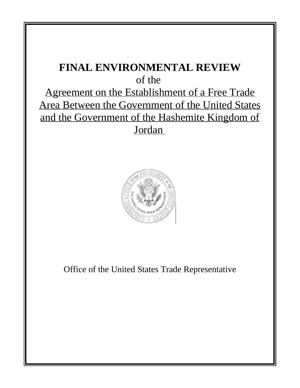# **FINAL ENVIRONMENTAL REVIEW** of the Agreement on the Establishment of a Free Trade Area Between the Government of the United States and the Government of the Hashemite Kingdom of **Jordan**



Office of the United States Trade Representative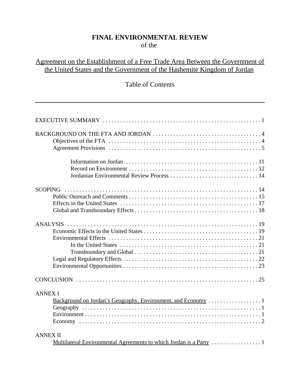# **FINAL ENVIRONMENTAL REVIEW** of the

# Agreement on the Establishment of a Free Trade Area Between the Government of the United States and the Government of the Hashemite Kingdom of Jordan

# Table of Contents

| <b>ANNEX I</b>  |
|-----------------|
| <b>ANNEX II</b> |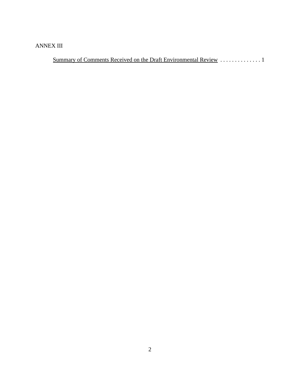# ANNEX III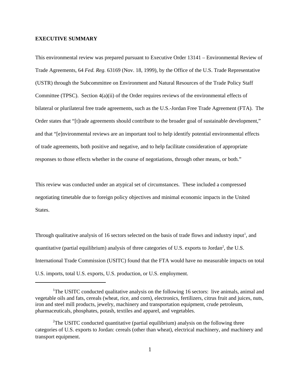#### **EXECUTIVE SUMMARY**

This environmental review was prepared pursuant to Executive Order 13141 – Environmental Review of Trade Agreements, 64 *Fed. Reg.* 63169 (Nov. 18, 1999), by the Office of the U.S. Trade Representative (USTR) through the Subcommittee on Environment and Natural Resources of the Trade Policy Staff Committee (TPSC). Section 4(a)(ii) of the Order requires reviews of the environmental effects of bilateral or plurilateral free trade agreements, such as the U.S.-Jordan Free Trade Agreement (FTA). The Order states that "[t]rade agreements should contribute to the broader goal of sustainable development," and that "[e]nvironmental reviews are an important tool to help identify potential environmental effects of trade agreements, both positive and negative, and to help facilitate consideration of appropriate responses to those effects whether in the course of negotiations, through other means, or both."

This review was conducted under an atypical set of circumstances. These included a compressed negotiating timetable due to foreign policy objectives and minimal economic impacts in the United States.

Through qualitative analysis of 16 sectors selected on the basis of trade flows and industry input<sup>1</sup>, and quantitative (partial equilibrium) analysis of three categories of U.S. exports to Jordan<sup>2</sup>, the U.S. International Trade Commission (USITC) found that the FTA would have no measurable impacts on total U.S. imports, total U.S. exports, U.S. production, or U.S. employment.

<sup>&</sup>lt;sup>1</sup>The USITC conducted qualitative analysis on the following 16 sectors: live animals, animal and vegetable oils and fats, cereals (wheat, rice, and corn), electronics, fertilizers, citrus fruit and juices, nuts, iron and steel mill products, jewelry, machinery and transportation equipment, crude petroleum, pharmaceuticals, phosphates, potash, textiles and apparel, and vegetables.

<sup>&</sup>lt;sup>2</sup>The USITC conducted quantitative (partial equilibrium) analysis on the following three categories of U.S. exports to Jordan: cereals (other than wheat), electrical machinery, and machinery and transport equipment.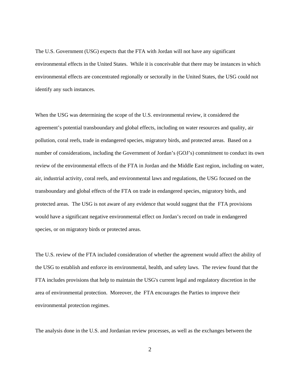The U.S. Government (USG) expects that the FTA with Jordan will not have any significant environmental effects in the United States. While it is conceivable that there may be instances in which environmental effects are concentrated regionally or sectorally in the United States, the USG could not identify any such instances.

When the USG was determining the scope of the U.S. environmental review, it considered the agreement's potential transboundary and global effects, including on water resources and quality, air pollution, coral reefs, trade in endangered species, migratory birds, and protected areas. Based on a number of considerations, including the Government of Jordan's (GOJ's) commitment to conduct its own review of the environmental effects of the FTA in Jordan and the Middle East region, including on water, air, industrial activity, coral reefs, and environmental laws and regulations, the USG focused on the transboundary and global effects of the FTA on trade in endangered species, migratory birds, and protected areas. The USG is not aware of any evidence that would suggest that the FTA provisions would have a significant negative environmental effect on Jordan's record on trade in endangered species, or on migratory birds or protected areas.

The U.S. review of the FTA included consideration of whether the agreement would affect the ability of the USG to establish and enforce its environmental, health, and safety laws. The review found that the FTA includes provisions that help to maintain the USG's current legal and regulatory discretion in the area of environmental protection. Moreover, the FTA encourages the Parties to improve their environmental protection regimes.

The analysis done in the U.S. and Jordanian review processes, as well as the exchanges between the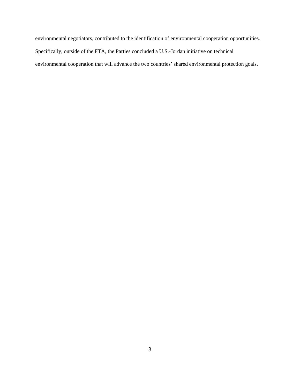environmental negotiators, contributed to the identification of environmental cooperation opportunities. Specifically, outside of the FTA, the Parties concluded a U.S.-Jordan initiative on technical environmental cooperation that will advance the two countries' shared environmental protection goals.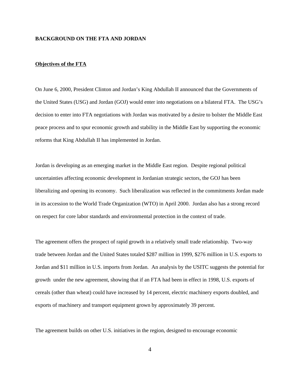#### **BACKGROUND ON THE FTA AND JORDAN**

#### **Objectives of the FTA**

On June 6, 2000, President Clinton and Jordan's King Abdullah II announced that the Governments of the United States (USG) and Jordan (GOJ) would enter into negotiations on a bilateral FTA. The USG's decision to enter into FTA negotiations with Jordan was motivated by a desire to bolster the Middle East peace process and to spur economic growth and stability in the Middle East by supporting the economic reforms that King Abdullah II has implemented in Jordan.

Jordan is developing as an emerging market in the Middle East region. Despite regional political uncertainties affecting economic development in Jordanian strategic sectors, the GOJ has been liberalizing and opening its economy. Such liberalization was reflected in the commitments Jordan made in its accession to the World Trade Organization (WTO) in April 2000. Jordan also has a strong record on respect for core labor standards and environmental protection in the context of trade.

The agreement offers the prospect of rapid growth in a relatively small trade relationship. Two-way trade between Jordan and the United States totaled \$287 million in 1999, \$276 million in U.S. exports to Jordan and \$11 million in U.S. imports from Jordan. An analysis by the USITC suggests the potential for growth under the new agreement, showing that if an FTA had been in effect in 1998, U.S. exports of cereals (other than wheat) could have increased by 14 percent, electric machinery exports doubled, and exports of machinery and transport equipment grown by approximately 39 percent.

The agreement builds on other U.S. initiatives in the region, designed to encourage economic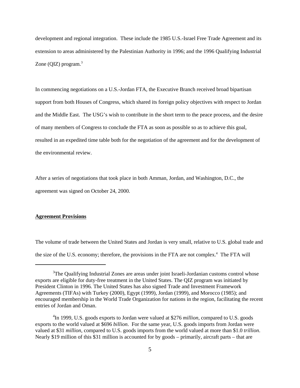development and regional integration. These include the 1985 U.S.-Israel Free Trade Agreement and its extension to areas administered by the Palestinian Authority in 1996; and the 1996 Qualifying Industrial Zone  $(QIZ)$  program.<sup>3</sup>

In commencing negotiations on a U.S.-Jordan FTA, the Executive Branch received broad bipartisan support from both Houses of Congress, which shared its foreign policy objectives with respect to Jordan and the Middle East. The USG's wish to contribute in the short term to the peace process, and the desire of many members of Congress to conclude the FTA as soon as possible so as to achieve this goal, resulted in an expedited time table both for the negotiation of the agreement and for the development of the environmental review.

After a series of negotiations that took place in both Amman, Jordan, and Washington, D.C., the agreement was signed on October 24, 2000.

#### **Agreement Provisions**

The volume of trade between the United States and Jordan is very small, relative to U.S. global trade and the size of the U.S. economy; therefore, the provisions in the FTA are not complex.<sup>4</sup> The FTA will

<sup>&</sup>lt;sup>3</sup>The Qualifying Industrial Zones are areas under joint Israeli-Jordanian customs control whose exports are eligible for duty-free treatment in the United States. The QIZ program was initiated by President Clinton in 1996. The United States has also signed Trade and Investment Framework Agreements (TIFAs) with Turkey (2000), Egypt (1999), Jordan (1999), and Morocco (1985); and encouraged membership in the World Trade Organization for nations in the region, facilitating the recent entries of Jordan and Oman.

<sup>4</sup> In 1999, U.S. goods exports to Jordan were valued at \$276 *million*, compared to U.S. goods exports to the world valued at \$696 *billion*. For the same year, U.S. goods imports from Jordan were valued at \$31 *million*, compared to U.S. goods imports from the world valued at more than \$1.0 *trillion*. Nearly \$19 million of this \$31 million is accounted for by goods – primarily, aircraft parts – that are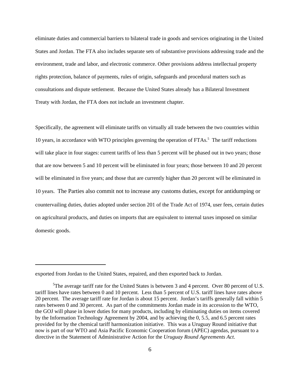eliminate duties and commercial barriers to bilateral trade in goods and services originating in the United States and Jordan. The FTA also includes separate sets of substantive provisions addressing trade and the environment, trade and labor, and electronic commerce. Other provisions address intellectual property rights protection, balance of payments, rules of origin, safeguards and procedural matters such as consultations and dispute settlement. Because the United States already has a Bilateral Investment Treaty with Jordan, the FTA does not include an investment chapter.

Specifically, the agreement will eliminate tariffs on virtually all trade between the two countries within 10 years, in accordance with WTO principles governing the operation of FTAs.<sup>5</sup> The tariff reductions will take place in four stages: current tariffs of less than 5 percent will be phased out in two years; those that are now between 5 and 10 percent will be eliminated in four years; those between 10 and 20 percent will be eliminated in five years; and those that are currently higher than 20 percent will be eliminated in 10 years. The Parties also commit not to increase any customs duties, except for antidumping or countervailing duties, duties adopted under section 201 of the Trade Act of 1974, user fees, certain duties on agricultural products, and duties on imports that are equivalent to internal taxes imposed on similar domestic goods.

exported from Jordan to the United States, repaired, and then exported back to Jordan.

<sup>&</sup>lt;sup>5</sup>The average tariff rate for the United States is between 3 and 4 percent. Over 80 percent of U.S. tariff lines have rates between 0 and 10 percent. Less than 5 percent of U.S. tariff lines have rates above 20 percent. The average tariff rate for Jordan is about 15 percent. Jordan's tariffs generally fall within 5 rates between 0 and 30 percent. As part of the commitments Jordan made in its accession to the WTO, the GOJ will phase in lower duties for many products, including by eliminating duties on items covered by the Information Technology Agreement by 2004, and by achieving the 0, 5.5, and 6.5 percent rates provided for by the chemical tariff harmonization initiative. This was a Uruguay Round initiative that now is part of our WTO and Asia Pacific Economic Cooperation forum (APEC) agendas, pursuant to a directive in the Statement of Administrative Action for the *Uruguay Round Agreements Act*.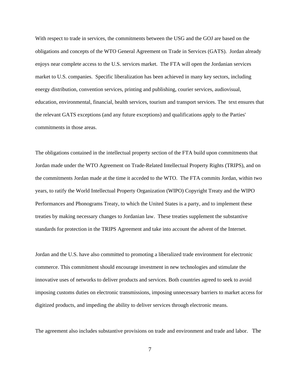With respect to trade in services, the commitments between the USG and the GOJ are based on the obligations and concepts of the WTO General Agreement on Trade in Services (GATS). Jordan already enjoys near complete access to the U.S. services market. The FTA will open the Jordanian services market to U.S. companies. Specific liberalization has been achieved in many key sectors, including energy distribution, convention services, printing and publishing, courier services, audiovisual, education, environmental, financial, health services, tourism and transport services. The text ensures that the relevant GATS exceptions (and any future exceptions) and qualifications apply to the Parties' commitments in those areas.

The obligations contained in the intellectual property section of the FTA build upon commitments that Jordan made under the WTO Agreement on Trade-Related Intellectual Property Rights (TRIPS), and on the commitments Jordan made at the time it acceded to the WTO. The FTA commits Jordan, within two years, to ratify the World Intellectual Property Organization (WIPO) Copyright Treaty and the WIPO Performances and Phonograms Treaty, to which the United States is a party, and to implement these treaties by making necessary changes to Jordanian law. These treaties supplement the substantive standards for protection in the TRIPS Agreement and take into account the advent of the Internet.

Jordan and the U.S. have also committed to promoting a liberalized trade environment for electronic commerce. This commitment should encourage investment in new technologies and stimulate the innovative uses of networks to deliver products and services. Both countries agreed to seek to avoid imposing customs duties on electronic transmissions, imposing unnecessary barriers to market access for digitized products, and impeding the ability to deliver services through electronic means.

The agreement also includes substantive provisions on trade and environment and trade and labor. The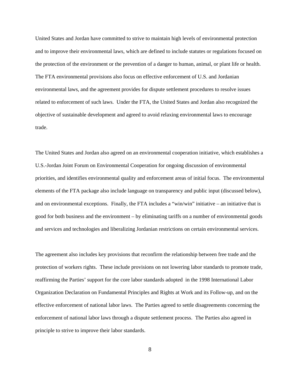United States and Jordan have committed to strive to maintain high levels of environmental protection and to improve their environmental laws, which are defined to include statutes or regulations focused on the protection of the environment or the prevention of a danger to human, animal, or plant life or health. The FTA environmental provisions also focus on effective enforcement of U.S. and Jordanian environmental laws, and the agreement provides for dispute settlement procedures to resolve issues related to enforcement of such laws. Under the FTA, the United States and Jordan also recognized the objective of sustainable development and agreed to avoid relaxing environmental laws to encourage trade.

The United States and Jordan also agreed on an environmental cooperation initiative, which establishes a U.S.-Jordan Joint Forum on Environmental Cooperation for ongoing discussion of environmental priorities, and identifies environmental quality and enforcement areas of initial focus. The environmental elements of the FTA package also include language on transparency and public input (discussed below), and on environmental exceptions. Finally, the FTA includes a "win/win" initiative – an initiative that is good for both business and the environment – by eliminating tariffs on a number of environmental goods and services and technologies and liberalizing Jordanian restrictions on certain environmental services.

The agreement also includes key provisions that reconfirm the relationship between free trade and the protection of workers rights. These include provisions on not lowering labor standards to promote trade, reaffirming the Parties' support for the core labor standards adopted in the 1998 International Labor Organization Declaration on Fundamental Principles and Rights at Work and its Follow-up, and on the effective enforcement of national labor laws. The Parties agreed to settle disagreements concerning the enforcement of national labor laws through a dispute settlement process. The Parties also agreed in principle to strive to improve their labor standards.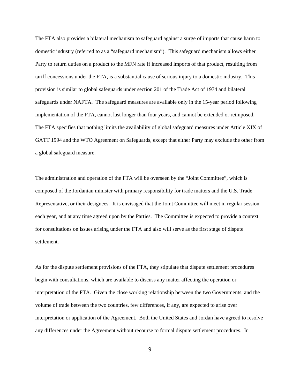The FTA also provides a bilateral mechanism to safeguard against a surge of imports that cause harm to domestic industry (referred to as a "safeguard mechanism"). This safeguard mechanism allows either Party to return duties on a product to the MFN rate if increased imports of that product, resulting from tariff concessions under the FTA, is a substantial cause of serious injury to a domestic industry. This provision is similar to global safeguards under section 201 of the Trade Act of 1974 and bilateral safeguards under NAFTA. The safeguard measures are available only in the 15-year period following implementation of the FTA, cannot last longer than four years, and cannot be extended or reimposed. The FTA specifies that nothing limits the availability of global safeguard measures under Article XIX of GATT 1994 and the WTO Agreement on Safeguards, except that either Party may exclude the other from a global safeguard measure.

The administration and operation of the FTA will be overseen by the "Joint Committee", which is composed of the Jordanian minister with primary responsibility for trade matters and the U.S. Trade Representative, or their designees. It is envisaged that the Joint Committee will meet in regular session each year, and at any time agreed upon by the Parties. The Committee is expected to provide a context for consultations on issues arising under the FTA and also will serve as the first stage of dispute settlement.

As for the dispute settlement provisions of the FTA, they stipulate that dispute settlement procedures begin with consultations, which are available to discuss any matter affecting the operation or interpretation of the FTA. Given the close working relationship between the two Governments, and the volume of trade between the two countries, few differences, if any, are expected to arise over interpretation or application of the Agreement. Both the United States and Jordan have agreed to resolve any differences under the Agreement without recourse to formal dispute settlement procedures. In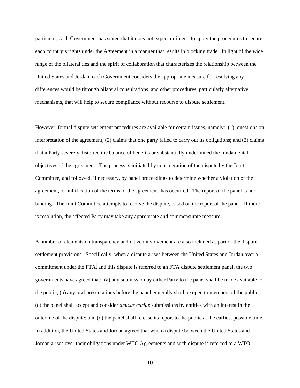particular, each Government has stated that it does not expect or intend to apply the procedures to secure each country's rights under the Agreement in a manner that results in blocking trade. In light of the wide range of the bilateral ties and the spirit of collaboration that characterizes the relationship between the United States and Jordan, each Government considers the appropriate measure for resolving any differences would be through bilateral consultations, and other procedures, particularly alternative mechanisms, that will help to secure compliance without recourse to dispute settlement.

However, formal dispute settlement procedures are available for certain issues, namely: (1) questions on interpretation of the agreement; (2) claims that one party failed to carry out its obligations; and (3) claims that a Party severely distorted the balance of benefits or substantially undermined the fundamental objectives of the agreement. The process is initiated by consideration of the dispute by the Joint Committee, and followed, if necessary, by panel proceedings to determine whether a violation of the agreement, or nullification of the terms of the agreement, has occurred. The report of the panel is nonbinding. The Joint Committee attempts to resolve the dispute, based on the report of the panel. If there is resolution, the affected Party may take any appropriate and commensurate measure.

A number of elements on transparency and citizen involvement are also included as part of the dispute settlement provisions. Specifically, when a dispute arises between the United States and Jordan over a commitment under the FTA, and this dispute is referred to an FTA dispute settlement panel, the two governments have agreed that: (a) any submission by either Party to the panel shall be made available to the public; (b) any oral presentations before the panel generally shall be open to members of the public; (c) the panel shall accept and consider *amicus curiae* submissions by entities with an interest in the outcome of the dispute; and (d) the panel shall release its report to the public at the earliest possible time. In addition, the United States and Jordan agreed that when a dispute between the United States and Jordan arises over their obligations under WTO Agreements and such dispute is referred to a WTO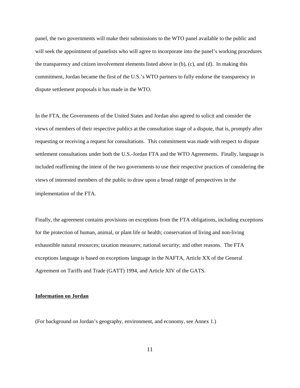panel, the two governments will make their submissions to the WTO panel available to the public and will seek the appointment of panelists who will agree to incorporate into the panel's working procedures the transparency and citizen involvement elements listed above in (b), (c), and (d). In making this commitment, Jordan became the first of the U.S.'s WTO partners to fully endorse the transparency in dispute settlement proposals it has made in the WTO.

In the FTA, the Governments of the United States and Jordan also agreed to solicit and consider the views of members of their respective publics at the consultation stage of a dispute, that is, promptly after requesting or receiving a request for consultations. This commitment was made with respect to dispute settlement consultations under both the U.S.-Jordan FTA and the WTO Agreements. Finally, language is included reaffirming the intent of the two governments to use their respective practices of considering the views of interested members of the public to draw upon a broad range of perspectives in the implementation of the FTA.

Finally, the agreement contains provisions on exceptions from the FTA obligations, including exceptions for the protection of human, animal, or plant life or health; conservation of living and non-living exhaustible natural resources; taxation measures; national security; and other reasons. The FTA exceptions language is based on exceptions language in the NAFTA, Article XX of the General Agreement on Tariffs and Trade (GATT) 1994, and Article XIV of the GATS.

### **Information on Jordan**

(For background on Jordan's geography, environment, and economy, see Annex 1.)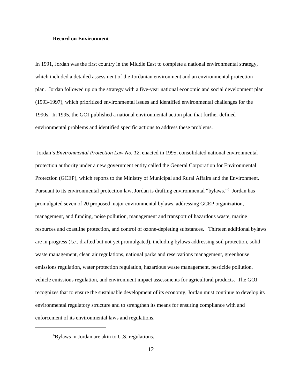#### **Record on Environment**

In 1991, Jordan was the first country in the Middle East to complete a national environmental strategy, which included a detailed assessment of the Jordanian environment and an environmental protection plan. Jordan followed up on the strategy with a five-year national economic and social development plan (1993-1997), which prioritized environmental issues and identified environmental challenges for the 1990s. In 1995, the GOJ published a national environmental action plan that further defined environmental problems and identified specific actions to address these problems.

 Jordan's *Environmental Protection Law No. 12,* enacted in 1995*,* consolidated national environmental protection authority under a new government entity called the General Corporation for Environmental Protection (GCEP), which reports to the Ministry of Municipal and Rural Affairs and the Environment. Pursuant to its environmental protection law, Jordan is drafting environmental "bylaws."<sup>6</sup> Jordan has promulgated seven of 20 proposed major environmental bylaws, addressing GCEP organization, management, and funding, noise pollution, management and transport of hazardous waste, marine resources and coastline protection, and control of ozone-depleting substances. Thirteen additional bylaws are in progress (*i.e.*, drafted but not yet promulgated), including bylaws addressing soil protection, solid waste management, clean air regulations, national parks and reservations management, greenhouse emissions regulation, water protection regulation, hazardous waste management, pesticide pollution, vehicle emissions regulation, and environment impact assessments for agricultural products. The GOJ recognizes that to ensure the sustainable development of its economy, Jordan must continue to develop its environmental regulatory structure and to strengthen its means for ensuring compliance with and enforcement of its environmental laws and regulations.

<sup>&</sup>lt;sup>6</sup>Bylaws in Jordan are akin to U.S. regulations.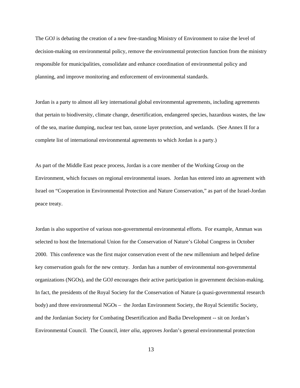The GOJ is debating the creation of a new free-standing Ministry of Environment to raise the level of decision-making on environmental policy, remove the environmental protection function from the ministry responsible for municipalities, consolidate and enhance coordination of environmental policy and planning, and improve monitoring and enforcement of environmental standards.

Jordan is a party to almost all key international global environmental agreements, including agreements that pertain to biodiversity, climate change, desertification, endangered species, hazardous wastes, the law of the sea, marine dumping, nuclear test ban, ozone layer protection, and wetlands. (See Annex II for a complete list of international environmental agreements to which Jordan is a party.)

As part of the Middle East peace process, Jordan is a core member of the Working Group on the Environment, which focuses on regional environmental issues. Jordan has entered into an agreement with Israel on "Cooperation in Environmental Protection and Nature Conservation," as part of the Israel-Jordan peace treaty.

Jordan is also supportive of various non-governmental environmental efforts. For example, Amman was selected to host the International Union for the Conservation of Nature's Global Congress in October 2000. This conference was the first major conservation event of the new millennium and helped define key conservation goals for the new century. Jordan has a number of environmental non-governmental organizations (NGOs), and the GOJ encourages their active participation in government decision-making. In fact, the presidents of the Royal Society for the Conservation of Nature (a quasi-governmental research body) and three environmental NGOs – the Jordan Environment Society, the Royal Scientific Society, and the Jordanian Society for Combating Desertification and Badia Development -- sit on Jordan's Environmental Council. The Council, *inter alia*, approves Jordan's general environmental protection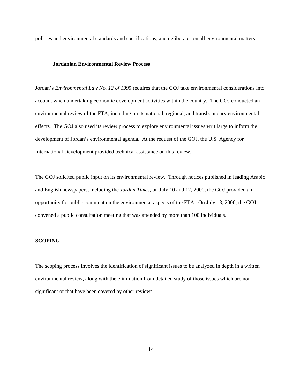policies and environmental standards and specifications, and deliberates on all environmental matters.

### **Jordanian Environmental Review Process**

Jordan's *Environmental Law No. 12 of 1995* requires that the GOJ take environmental considerations into account when undertaking economic development activities within the country. The GOJ conducted an environmental review of the FTA, including on its national, regional, and transboundary environmental effects. The GOJ also used its review process to explore environmental issues writ large to inform the development of Jordan's environmental agenda. At the request of the GOJ, the U.S. Agency for International Development provided technical assistance on this review.

The GOJ solicited public input on its environmental review. Through notices published in leading Arabic and English newspapers, including the *Jordan Times*, on July 10 and 12, 2000, the GOJ provided an opportunity for public comment on the environmental aspects of the FTA. On July 13, 2000, the GOJ convened a public consultation meeting that was attended by more than 100 individuals.

# **SCOPING**

The scoping process involves the identification of significant issues to be analyzed in depth in a written environmental review, along with the elimination from detailed study of those issues which are not significant or that have been covered by other reviews.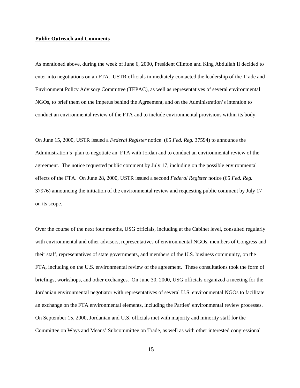#### **Public Outreach and Comments**

As mentioned above, during the week of June 6, 2000, President Clinton and King Abdullah II decided to enter into negotiations on an FTA. USTR officials immediately contacted the leadership of the Trade and Environment Policy Advisory Committee (TEPAC), as well as representatives of several environmental NGOs, to brief them on the impetus behind the Agreement, and on the Administration's intention to conduct an environmental review of the FTA and to include environmental provisions within its body.

On June 15, 2000, USTR issued a *Federal Register* notice (65 *Fed. Reg.* 37594) to announce the Administration's plan to negotiate an FTA with Jordan and to conduct an environmental review of the agreement. The notice requested public comment by July 17, including on the possible environmental effects of the FTA. On June 28, 2000, USTR issued a second *Federal Register* notice (65 *Fed. Reg.* 37976) announcing the initiation of the environmental review and requesting public comment by July 17 on its scope.

Over the course of the next four months, USG officials, including at the Cabinet level, consulted regularly with environmental and other advisors, representatives of environmental NGOs, members of Congress and their staff, representatives of state governments, and members of the U.S. business community, on the FTA, including on the U.S. environmental review of the agreement. These consultations took the form of briefings, workshops, and other exchanges. On June 30, 2000, USG officials organized a meeting for the Jordanian environmental negotiator with representatives of several U.S. environmental NGOs to facilitate an exchange on the FTA environmental elements, including the Parties' environmental review processes. On September 15, 2000, Jordanian and U.S. officials met with majority and minority staff for the Committee on Ways and Means' Subcommittee on Trade, as well as with other interested congressional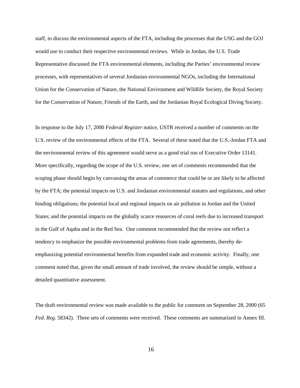staff, to discuss the environmental aspects of the FTA, including the processes that the USG and the GOJ would use to conduct their respective environmental reviews. While in Jordan, the U.S. Trade Representative discussed the FTA environmental elements, including the Parties' environmental review processes, with representatives of several Jordanian environmental NGOs, including the International Union for the Conservation of Nature, the National Environment and Wildlife Society, the Royal Society for the Conservation of Nature, Friends of the Earth, and the Jordanian Royal Ecological Diving Society.

In response to the July 17, 2000 *Federal Register* notice, USTR received a number of comments on the U.S. review of the environmental effects of the FTA. Several of these noted that the U.S.-Jordan FTA and the environmental review of this agreement would serve as a good trial run of Executive Order 13141. More specifically, regarding the scope of the U.S. review, one set of comments recommended that the scoping phase should begin by canvassing the areas of commerce that could be or are likely to be affected by the FTA; the potential impacts on U.S. and Jordanian environmental statutes and regulations, and other binding obligations; the potential local and regional impacts on air pollution in Jordan and the United States; and the potential impacts on the globally scarce resources of coral reefs due to increased transport in the Gulf of Aqaba and in the Red Sea. One comment recommended that the review not reflect a tendency to emphasize the possible environmental problems from trade agreements, thereby deemphasizing potential environmental benefits from expanded trade and economic activity. Finally, one comment noted that, given the small amount of trade involved, the review should be simple, without a detailed quantitative assessment.

The draft environmental review was made available to the public for comment on September 28, 2000 (65 *Fed*. *Reg*. 58342). Three sets of comments were received. These comments are summarized in Annex III.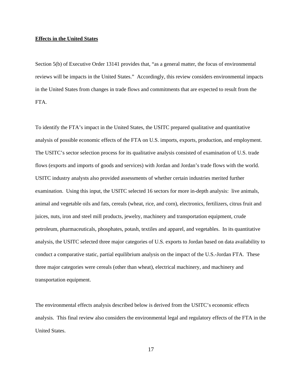#### **Effects in the United States**

Section 5(b) of Executive Order 13141 provides that, "as a general matter, the focus of environmental reviews will be impacts in the United States." Accordingly, this review considers environmental impacts in the United States from changes in trade flows and commitments that are expected to result from the FTA.

To identify the FTA's impact in the United States, the USITC prepared qualitative and quantitative analysis of possible economic effects of the FTA on U.S. imports, exports, production, and employment. The USITC's sector selection process for its qualitative analysis consisted of examination of U.S. trade flows (exports and imports of goods and services) with Jordan and Jordan's trade flows with the world. USITC industry analysts also provided assessments of whether certain industries merited further examination. Using this input, the USITC selected 16 sectors for more in-depth analysis: live animals, animal and vegetable oils and fats, cereals (wheat, rice, and corn), electronics, fertilizers, citrus fruit and juices, nuts, iron and steel mill products, jewelry, machinery and transportation equipment, crude petroleum, pharmaceuticals, phosphates, potash, textiles and apparel, and vegetables. In its quantitative analysis, the USITC selected three major categories of U.S. exports to Jordan based on data availability to conduct a comparative static, partial equilibrium analysis on the impact of the U.S.-Jordan FTA. These three major categories were cereals (other than wheat), electrical machinery, and machinery and transportation equipment.

The environmental effects analysis described below is derived from the USITC's economic effects analysis. This final review also considers the environmental legal and regulatory effects of the FTA in the United States.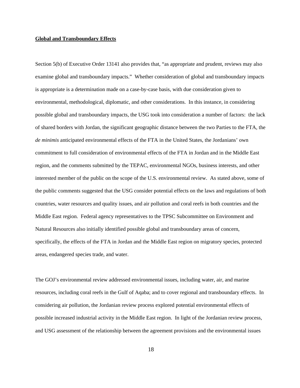#### **Global and Transboundary Effects**

Section 5(b) of Executive Order 13141 also provides that, "as appropriate and prudent, reviews may also examine global and transboundary impacts." Whether consideration of global and transboundary impacts is appropriate is a determination made on a case-by-case basis, with due consideration given to environmental, methodological, diplomatic, and other considerations. In this instance, in considering possible global and transboundary impacts, the USG took into consideration a number of factors: the lack of shared borders with Jordan, the significant geographic distance between the two Parties to the FTA, the *de minimis* anticipated environmental effects of the FTA in the United States, the Jordanians' own commitment to full consideration of environmental effects of the FTA in Jordan and in the Middle East region, and the comments submitted by the TEPAC, environmental NGOs, business interests, and other interested member of the public on the scope of the U.S. environmental review. As stated above, some of the public comments suggested that the USG consider potential effects on the laws and regulations of both countries, water resources and quality issues, and air pollution and coral reefs in both countries and the Middle East region. Federal agency representatives to the TPSC Subcommittee on Environment and Natural Resources also initially identified possible global and transboundary areas of concern, specifically, the effects of the FTA in Jordan and the Middle East region on migratory species, protected areas, endangered species trade, and water.

The GOJ's environmental review addressed environmental issues, including water, air, and marine resources, including coral reefs in the Gulf of Aqaba; and to cover regional and transboundary effects. In considering air pollution, the Jordanian review process explored potential environmental effects of possible increased industrial activity in the Middle East region. In light of the Jordanian review process, and USG assessment of the relationship between the agreement provisions and the environmental issues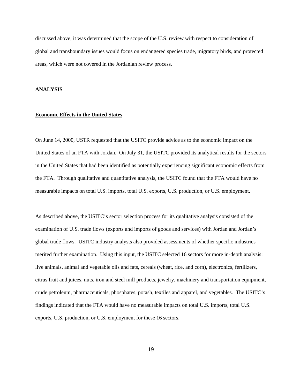discussed above, it was determined that the scope of the U.S. review with respect to consideration of global and transboundary issues would focus on endangered species trade, migratory birds, and protected areas, which were not covered in the Jordanian review process.

#### **ANALYSIS**

#### **Economic Effects in the United States**

On June 14, 2000, USTR requested that the USITC provide advice as to the economic impact on the United States of an FTA with Jordan. On July 31, the USITC provided its analytical results for the sectors in the United States that had been identified as potentially experiencing significant economic effects from the FTA. Through qualitative and quantitative analysis, the USITC found that the FTA would have no measurable impacts on total U.S. imports, total U.S. exports, U.S. production, or U.S. employment.

As described above, the USITC's sector selection process for its qualitative analysis consisted of the examination of U.S. trade flows (exports and imports of goods and services) with Jordan and Jordan's global trade flows. USITC industry analysts also provided assessments of whether specific industries merited further examination. Using this input, the USITC selected 16 sectors for more in-depth analysis: live animals, animal and vegetable oils and fats, cereals (wheat, rice, and corn), electronics, fertilizers, citrus fruit and juices, nuts, iron and steel mill products, jewelry, machinery and transportation equipment, crude petroleum, pharmaceuticals, phosphates, potash, textiles and apparel, and vegetables. The USITC's findings indicated that the FTA would have no measurable impacts on total U.S. imports, total U.S. exports, U.S. production, or U.S. employment for these 16 sectors.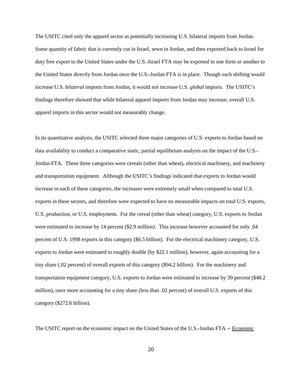The USITC cited only the apparel sector as potentially increasing U.S. bilateral imports from Jordan. Some quantity of fabric that is currently cut in Israel, sewn in Jordan, and then exported back to Israel for duty free export to the United States under the U.S.-Israel FTA may be exported in one form or another to the United States directly from Jordan once the U.S.-Jordan FTA is in place. Though such shifting would increase U.S. *bilateral* imports from Jordan, it would not increase U.S. *global* imports. The USITC's findings therefore showed that while bilateral apparel imports from Jordan may increase, overall U.S. apparel imports in this sector would not measurably change.

In its quantitative analysis, the USITC selected three major categories of U.S. exports to Jordan based on data availability to conduct a comparative static, partial equilibrium analysis on the impact of the U.S.- Jordan FTA. These three categories were cereals (other than wheat), electrical machinery, and machinery and transportation equipment. Although the USITC's findings indicated that exports to Jordan would increase in each of these categories, the increases were extremely small when compared to total U.S. exports in these sectors, and therefore were expected to have no measurable impacts on total U.S. exports, U.S. production, or U.S. employment. For the cereal (other than wheat) category, U.S. exports to Jordan were estimated to increase by 14 percent (\$2.9 million). This increase however accounted for only .04 percent of U.S. 1998 exports in this category (\$6.5 billion). For the electrical machinery category, U.S. exports to Jordan were estimated to roughly double (by \$22.1 million), however, again accounting for a tiny share (.02 percent) of overall exports of this category (\$94.2 billion). For the machinery and transportation equipment category, U.S. exports to Jordan were estimated to increase by 39 percent (\$48.2 million), once more accounting for a tiny share (less than .02 percent) of overall U.S. exports of this category (\$272.6 billion).

The USITC report on the economic impact on the United States of the U.S.-Jordan FTA -- Economic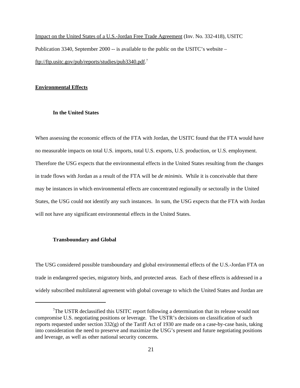Impact on the United States of a U.S.-Jordan Free Trade Agreement (Inv. No. 332-418), USITC Publication 3340, September 2000 -- is available to the public on the USITC's website – ftp://ftp.usitc.gov/pub/reports/studies/pub3340.pdf. 7

#### **Environmental Effects**

#### **In the United States**

When assessing the economic effects of the FTA with Jordan, the USITC found that the FTA would have no measurable impacts on total U.S. imports, total U.S. exports, U.S. production, or U.S. employment. Therefore the USG expects that the environmental effects in the United States resulting from the changes in trade flows with Jordan as a result of the FTA will be *de minimis*. While it is conceivable that there may be instances in which environmental effects are concentrated regionally or sectorally in the United States, the USG could not identify any such instances. In sum, the USG expects that the FTA with Jordan will not have any significant environmental effects in the United States.

# **Transboundary and Global**

The USG considered possible transboundary and global environmental effects of the U.S.-Jordan FTA on trade in endangered species, migratory birds, and protected areas. Each of these effects is addressed in a widely subscribed multilateral agreement with global coverage to which the United States and Jordan are

 $T$ The USTR declassified this USITC report following a determination that its release would not compromise U.S. negotiating positions or leverage. The USTR's decisions on classification of such reports requested under section 332(g) of the Tariff Act of 1930 are made on a case-by-case basis, taking into consideration the need to preserve and maximize the USG's present and future negotiating positions and leverage, as well as other national security concerns.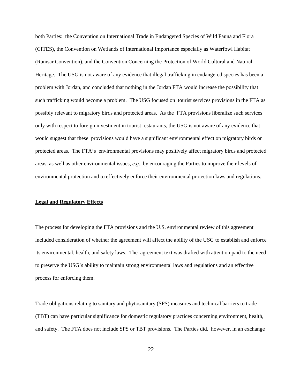both Parties: the Convention on International Trade in Endangered Species of Wild Fauna and Flora (CITES), the Convention on Wetlands of International Importance especially as Waterfowl Habitat (Ramsar Convention), and the Convention Concerning the Protection of World Cultural and Natural Heritage.The USG is not aware of any evidence that illegal trafficking in endangered species has been a problem with Jordan, and concluded that nothing in the Jordan FTA would increase the possibility that such trafficking would become a problem.The USG focused on tourist services provisions in the FTA as possibly relevant to migratory birds and protected areas. As the FTA provisions liberalize such services only with respect to foreign investment in tourist restaurants, the USG is not aware of any evidence that would suggest that these provisions would have a significant environmental effect on migratory birds or protected areas. The FTA's environmental provisions may positively affect migratory birds and protected areas, as well as other environmental issues, *e.g.*, by encouraging the Parties to improve their levels of environmental protection and to effectively enforce their environmental protection laws and regulations.

## **Legal and Regulatory Effects**

The process for developing the FTA provisions and the U.S. environmental review of this agreement included consideration of whether the agreement will affect the ability of the USG to establish and enforce its environmental, health, and safety laws. The agreement text was drafted with attention paid to the need to preserve the USG's ability to maintain strong environmental laws and regulations and an effective process for enforcing them.

Trade obligations relating to sanitary and phytosanitary (SPS) measures and technical barriers to trade (TBT) can have particular significance for domestic regulatory practices concerning environment, health, and safety. The FTA does not include SPS or TBT provisions. The Parties did, however, in an exchange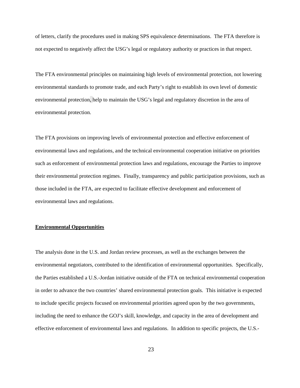of letters, clarify the procedures used in making SPS equivalence determinations. The FTA therefore is not expected to negatively affect the USG's legal or regulatory authority or practices in that respect.

The FTA environmental principles on maintaining high levels of environmental protection, not lowering environmental standards to promote trade, and each Party's right to establish its own level of domestic environmental protection, help to maintain the USG's legal and regulatory discretion in the area of environmental protection.

The FTA provisions on improving levels of environmental protection and effective enforcement of environmental laws and regulations, and the technical environmental cooperation initiative on priorities such as enforcement of environmental protection laws and regulations, encourage the Parties to improve their environmental protection regimes. Finally, transparency and public participation provisions, such as those included in the FTA, are expected to facilitate effective development and enforcement of environmental laws and regulations.

### **Environmental Opportunities**

The analysis done in the U.S. and Jordan review processes, as well as the exchanges between the environmental negotiators, contributed to the identification of environmental opportunities. Specifically, the Parties established a U.S.-Jordan initiative outside of the FTA on technical environmental cooperation in order to advance the two countries' shared environmental protection goals. This initiative is expected to include specific projects focused on environmental priorities agreed upon by the two governments, including the need to enhance the GOJ's skill, knowledge, and capacity in the area of development and effective enforcement of environmental laws and regulations. In addition to specific projects, the U.S.-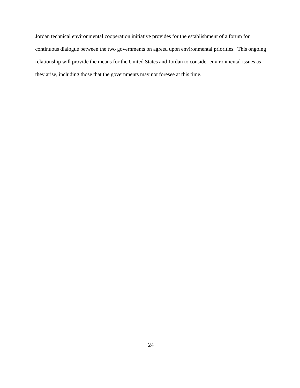Jordan technical environmental cooperation initiative provides for the establishment of a forum for continuous dialogue between the two governments on agreed upon environmental priorities. This ongoing relationship will provide the means for the United States and Jordan to consider environmental issues as they arise, including those that the governments may not foresee at this time.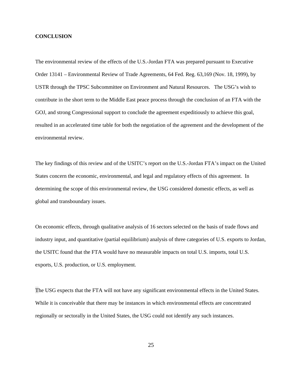#### **CONCLUSION**

The environmental review of the effects of the U.S.-Jordan FTA was prepared pursuant to Executive Order 13141 – Environmental Review of Trade Agreements, 64 Fed. Reg. 63,169 (Nov. 18, 1999), by USTR through the TPSC Subcommittee on Environment and Natural Resources. The USG's wish to contribute in the short term to the Middle East peace process through the conclusion of an FTA with the GOJ, and strong Congressional support to conclude the agreement expeditiously to achieve this goal, resulted in an accelerated time table for both the negotiation of the agreement and the development of the environmental review.

The key findings of this review and of the USITC's report on the U.S.-Jordan FTA's impact on the United States concern the economic, environmental, and legal and regulatory effects of this agreement. In determining the scope of this environmental review, the USG considered domestic effects, as well as global and transboundary issues.

On economic effects, through qualitative analysis of 16 sectors selected on the basis of trade flows and industry input, and quantitative (partial equilibrium) analysis of three categories of U.S. exports to Jordan, the USITC found that the FTA would have no measurable impacts on total U.S. imports, total U.S. exports, U.S. production, or U.S. employment.

The USG expects that the FTA will not have any significant environmental effects in the United States. While it is conceivable that there may be instances in which environmental effects are concentrated regionally or sectorally in the United States, the USG could not identify any such instances.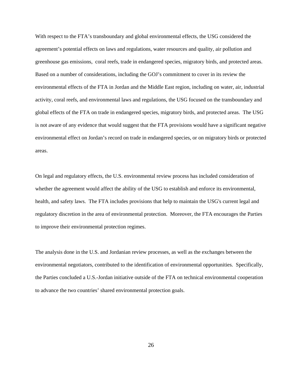With respect to the FTA's transboundary and global environmental effects, the USG considered the agreement's potential effects on laws and regulations, water resources and quality, air pollution and greenhouse gas emissions, coral reefs, trade in endangered species, migratory birds, and protected areas. Based on a number of considerations, including the GOJ's commitment to cover in its review the environmental effects of the FTA in Jordan and the Middle East region, including on water, air, industrial activity, coral reefs, and environmental laws and regulations, the USG focused on the transboundary and global effects of the FTA on trade in endangered species, migratory birds, and protected areas. The USG is not aware of any evidence that would suggest that the FTA provisions would have a significant negative environmental effect on Jordan's record on trade in endangered species, or on migratory birds or protected areas.

On legal and regulatory effects, the U.S. environmental review process has included consideration of whether the agreement would affect the ability of the USG to establish and enforce its environmental, health, and safety laws. The FTA includes provisions that help to maintain the USG's current legal and regulatory discretion in the area of environmental protection. Moreover, the FTA encourages the Parties to improve their environmental protection regimes.

The analysis done in the U.S. and Jordanian review processes, as well as the exchanges between the environmental negotiators, contributed to the identification of environmental opportunities. Specifically, the Parties concluded a U.S.-Jordan initiative outside of the FTA on technical environmental cooperation to advance the two countries' shared environmental protection goals.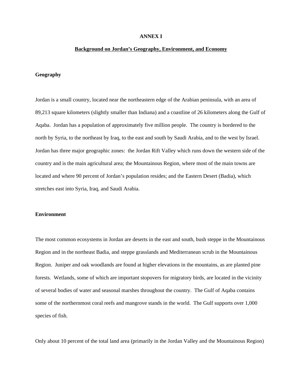#### **ANNEX I**

#### **Background on Jordan's Geography, Environment, and Economy**

#### **Geography**

Jordan is a small country, located near the northeastern edge of the Arabian peninsula, with an area of 89,213 square kilometers (slightly smaller than Indiana) and a coastline of 26 kilometers along the Gulf of Aqaba. Jordan has a population of approximately five million people. The country is bordered to the north by Syria, to the northeast by Iraq, to the east and south by Saudi Arabia, and to the west by Israel. Jordan has three major geographic zones: the Jordan Rift Valley which runs down the western side of the country and is the main agricultural area; the Mountainous Region, where most of the main towns are located and where 90 percent of Jordan's population resides; and the Eastern Desert (Badia), which stretches east into Syria, Iraq, and Saudi Arabia.

#### **Environment**

The most common ecosystems in Jordan are deserts in the east and south, bush steppe in the Mountainous Region and in the northeast Badia, and steppe grasslands and Mediterranean scrub in the Mountainous Region. Juniper and oak woodlands are found at higher elevations in the mountains, as are planted pine forests. Wetlands, some of which are important stopovers for migratory birds, are located in the vicinity of several bodies of water and seasonal marshes throughout the country. The Gulf of Aqaba contains some of the northernmost coral reefs and mangrove stands in the world. The Gulf supports over 1,000 species of fish.

Only about 10 percent of the total land area (primarily in the Jordan Valley and the Mountainous Region)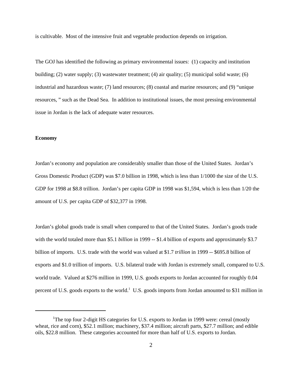is cultivable. Most of the intensive fruit and vegetable production depends on irrigation.

The GOJ has identified the following as primary environmental issues: (1) capacity and institution building; (2) water supply; (3) wastewater treatment; (4) air quality; (5) municipal solid waste; (6) industrial and hazardous waste; (7) land resources; (8) coastal and marine resources; and (9) "unique resources, " such as the Dead Sea. In addition to institutional issues, the most pressing environmental issue in Jordan is the lack of adequate water resources.

#### **Economy**

Jordan's economy and population are considerably smaller than those of the United States. Jordan's Gross Domestic Product (GDP) was \$7.0 billion in 1998, which is less than 1/1000 the size of the U.S. GDP for 1998 at \$8.8 trillion. Jordan's per capita GDP in 1998 was \$1,594, which is less than 1/20 the amount of U.S. per capita GDP of \$32,377 in 1998.

Jordan's global goods trade is small when compared to that of the United States. Jordan's goods trade with the world totaled more than \$5.1 *billion* in 1999 -- \$1.4 billion of exports and approximately \$3.7 billion of imports. U.S. trade with the world was valued at \$1.7 *trillion* in 1999 -- \$695.8 billion of exports and \$1.0 trillion of imports. U.S. bilateral trade with Jordan is extremely small, compared to U.S. world trade. Valued at \$276 million in 1999, U.S. goods exports to Jordan accounted for roughly 0.04 percent of U.S. goods exports to the world.<sup>1</sup> U.S. goods imports from Jordan amounted to \$31 million in

<sup>&</sup>lt;sup>1</sup>The top four 2-digit HS categories for U.S. exports to Jordan in 1999 were: cereal (mostly wheat, rice and corn), \$52.1 million; machinery, \$37.4 million; aircraft parts, \$27.7 million; and edible oils, \$22.8 million. These categories accounted for more than half of U.S. exports to Jordan.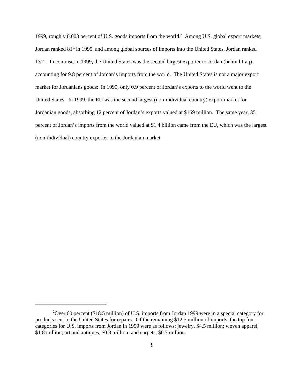1999, roughly 0.003 percent of U.S. goods imports from the world.<sup>2</sup> Among U.S. global export markets, Jordan ranked 81<sup>st</sup> in 1999, and among global sources of imports into the United States, Jordan ranked 131<sup>st</sup>. In contrast, in 1999, the United States was the second largest exporter to Jordan (behind Iraq), accounting for 9.8 percent of Jordan's imports from the world. The United States is not a major export market for Jordanians goods: in 1999, only 0.9 percent of Jordan's exports to the world went to the United States. In 1999, the EU was the second largest (non-individual country) export market for Jordanian goods, absorbing 12 percent of Jordan's exports valued at \$169 million. The same year, 35 percent of Jordan's imports from the world valued at \$1.4 billion came from the EU, which was the largest (non-individual) country exporter to the Jordanian market.

<sup>&</sup>lt;sup>2</sup>Over 60 percent (\$18.5 million) of U.S. imports from Jordan 1999 were in a special category for products sent to the United States for repairs. Of the remaining \$12.5 million of imports, the top four categories for U.S. imports from Jordan in 1999 were as follows: jewelry, \$4.5 million; woven apparel, \$1.8 million; art and antiques, \$0.8 million; and carpets, \$0.7 million.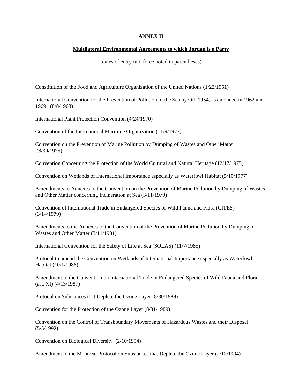# **ANNEX II**

# **Multilateral Environmental Agreements to which Jordan is a Party**

(dates of entry into force noted in parentheses)

Constitution of the Food and Agriculture Organization of the United Nations (1/23/1951)

International Convention for the Prevention of Pollution of the Sea by Oil, 1954, as amended in 1962 and 1969 (8/8/1963)

International Plant Protection Convention (4/24/1970)

Convention of the International Maritime Organization (11/9/1973)

Convention on the Prevention of Marine Pollution by Dumping of Wastes and Other Matter (8/30/1975)

Convention Concerning the Protection of the World Cultural and Natural Heritage (12/17/1975)

Convention on Wetlands of International Importance especially as Waterfowl Habitat (5/10/1977)

Amendments to Annexes to the Convention on the Prevention of Marine Pollution by Dumping of Wastes and Other Matter concerning Incineration at Sea (3/11/1979)

Convention of International Trade in Endangered Species of Wild Fauna and Flora (CITES) (3/14/1979)

Amendments to the Annexes to the Convention of the Prevention of Marine Pollution by Dumping of Wastes and Other Matter (3/11/1981)

International Convention for the Safety of Life at Sea (SOLAS) (11/7/1985)

Protocol to amend the Convention on Wetlands of International Importance especially as Waterfowl Habitat (10/1/1986)

Amendment to the Convention on International Trade in Endangered Species of Wild Fauna and Flora (art. XI) (4/13/1987)

Protocol on Substances that Deplete the Ozone Layer (8/30/1989)

Convention for the Protection of the Ozone Layer (8/31/1989)

Convention on the Control of Transboundary Movements of Hazardous Wastes and their Disposal (5/5/1992)

Convention on Biological Diversity (2/10/1994)

Amendment to the Montreal Protocol on Substances that Deplete the Ozone Layer (2/10/1994)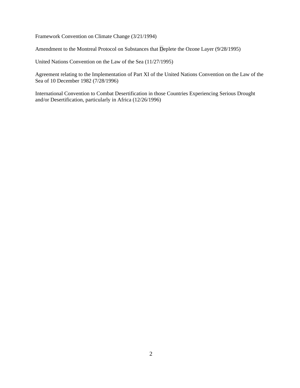Framework Convention on Climate Change (3/21/1994)

Amendment to the Montreal Protocol on Substances that Deplete the Ozone Layer (9/28/1995)

United Nations Convention on the Law of the Sea (11/27/1995)

Agreement relating to the Implementation of Part XI of the United Nations Convention on the Law of the Sea of 10 December 1982 (7/28/1996)

International Convention to Combat Desertification in those Countries Experiencing Serious Drought and/or Desertification, particularly in Africa (12/26/1996)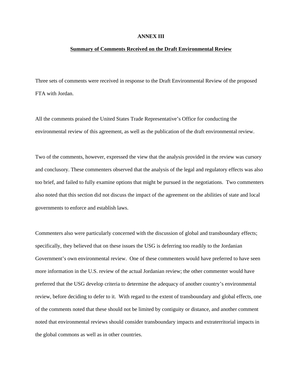#### **ANNEX III**

#### **Summary of Comments Received on the Draft Environmental Review**

Three sets of comments were received in response to the Draft Environmental Review of the proposed FTA with Jordan.

All the comments praised the United States Trade Representative's Office for conducting the environmental review of this agreement, as well as the publication of the draft environmental review.

Two of the comments, however, expressed the view that the analysis provided in the review was cursory and conclusory. These commenters observed that the analysis of the legal and regulatory effects was also too brief, and failed to fully examine options that might be pursued in the negotiations. Two commenters also noted that this section did not discuss the impact of the agreement on the abilities of state and local governments to enforce and establish laws.

Commenters also were particularly concerned with the discussion of global and transboundary effects; specifically, they believed that on these issues the USG is deferring too readily to the Jordanian Government's own environmental review. One of these commenters would have preferred to have seen more information in the U.S. review of the actual Jordanian review; the other commenter would have preferred that the USG develop criteria to determine the adequacy of another country's environmental review, before deciding to defer to it. With regard to the extent of transboundary and global effects, one of the comments noted that these should not be limited by contiguity or distance, and another comment noted that environmental reviews should consider transboundary impacts and extraterritorial impacts in the global commons as well as in other countries.